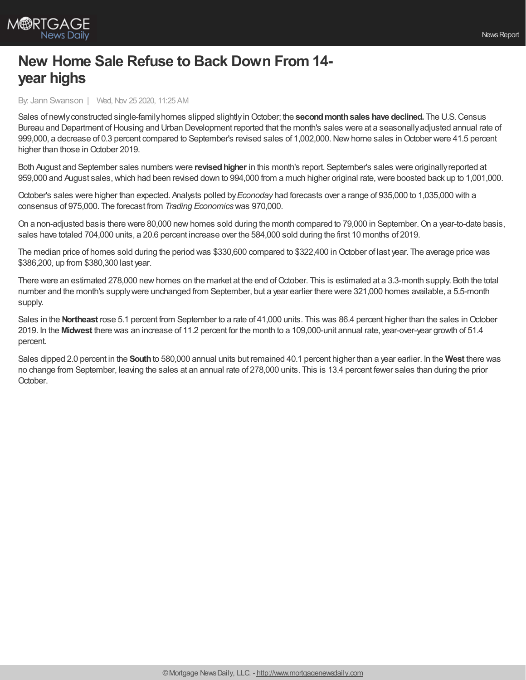## **New Home Sale Refuse to Back Down From 14 year highs**

By: Jann Swanson | Wed, Nov 25 2020, 11:25 AM

Sales of newlyconstructed single-familyhomes slipped slightlyinOctober; the **secondmonthsales have declined.** The U.S.Census Bureau and Department of Housing and Urban Development reported that the month's sales were at a seasonally adjusted annual rate of 999,000, a decrease of 0.3 percent compared to September's revised sales of 1,002,000. New home sales in October were 41.5 percent higher than those in October 2019.

Both August and September sales numbers were revised higher in this month's report. September's sales were originally reported at 959,000 and August sales, which had been revised down to 994,000 from a much higher original rate, were boosted back up to 1,001,000.

October's sales were higher than expected. Analysts polled by*Econoday* had forecasts over a range of 935,000 to 1,035,000 with a consensus of 975,000. The forecast from *Trading Economics*was 970,000.

On a non-adjusted basis there were 80,000 new homes sold during the month compared to 79,000 in September. On a year-to-date basis, sales have totaled 704,000 units, a 20.6 percent increase over the 584,000 sold during the first 10 months of 2019.

The median price of homes sold during the period was \$330,600 compared to \$322,400 in October of last year. The average price was \$386,200, up from \$380,300 last year.

There were an estimated 278,000 new homes on the market at the end of October. This is estimated at a 3.3-month supply. Both the total number and the month's supplywere unchanged from September, but a year earlier there were 321,000 homes available, a 5.5-month supply.

Sales in the **Northeast** rose 5.1 percent from September to a rate of 41,000 units. This was 86.4 percent higher than the sales inOctober 2019. In the **Midwest** there was an increase of 11.2 percent for the month to a 109,000-unit annual rate, year-over-year growth of 51.4 percent.

Sales dipped 2.0 percent in the **South**to 580,000 annual units but remained 40.1 percent higher than a year earlier. In the **West** there was no change from September, leaving the sales at an annual rate of 278,000 units. This is 13.4 percent fewer sales than during the prior October.